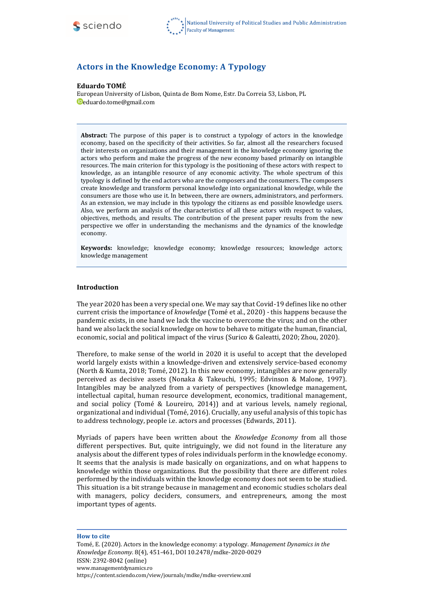

# **Actors in the Knowledge Economy: A Typology**

#### **Eduardo TOMÉ**

European University of Lisbon, Quinta de Bom Nome, Estr. Da Correia 53, Lisbon, PL [eduardo.tome@gmail.com](mailto:eduardo.tome@gmail.com)

**Abstract:** The purpose of this paper is to construct a typology of actors in the knowledge economy, based on the specificity of their activities. So far, almost all the researchers focused their interests on organizations and their management in the knowledge economy ignoring the actors who perform and make the progress of the new economy based primarily on intangible resources. The main criterion for this typology is the positioning of these actors with respect to knowledge, as an intangible resource of any economic activity. The whole spectrum of this typology is defined by the end actors who are the composers and the consumers. The composers create knowledge and transform personal knowledge into organizational knowledge, while the consumers are those who use it. In between, there are owners, administrators, and performers. As an extension, we may include in this typology the citizens as end possible knowledge users. Also, we perform an analysis of the characteristics of all these actors with respect to values, objectives, methods, and results. The contribution of the present paper results from the new perspective we offer in understanding the mechanisms and the dynamics of the knowledge economy.

**Keywords:** knowledge; knowledge economy; knowledge resources; knowledge actors; knowledge management

#### **Introduction**

The year 2020 has been a very special one. We may say that Covid-19 defines like no other current crisis the importance of *knowledge* (Tomé et al., 2020) - this happens because the pandemic exists, in one hand we lack the vaccine to overcome the virus; and on the other hand we also lack the social knowledge on how to behave to mitigate the human, financial, economic, social and political impact of the virus (Surico & Galeatti, 2020; Zhou, 2020).

Therefore, to make sense of the world in 2020 it is useful to accept that the developed world largely exists within a knowledge-driven and extensively service-based economy (North & Kumta, 2018; Tomé, 2012). In this new economy, intangibles are now generally perceived as decisive assets (Nonaka & Takeuchi, 1995; Edvinson & Malone, 1997). Intangibles may be analyzed from a variety of perspectives (knowledge management, intellectual capital, human resource development, economics, traditional management, and social policy (Tomé & Loureiro, 2014)) and at various levels, namely regional, organizational and individual (Tomé, 2016). Crucially, any useful analysis of this topic has to address technology, people i.e. actors and processes (Edwards, 2011).

Myriads of papers have been written about the *Knowledge Economy* from all those different perspectives. But, quite intriguingly, we did not found in the literature any analysis about the different types of roles individuals perform in the knowledge economy. It seems that the analysis is made basically on organizations, and on what happens to knowledge within those organizations. But the possibility that there are different roles performed by the individuals within the knowledge economy does not seem to be studied. This situation is a bit strange because in management and economic studies scholars deal with managers, policy deciders, consumers, and entrepreneurs, among the most important types of agents.

#### **How to cite**

Tomé, E. (2020). Actors in the knowledge economy: a typology. *Management Dynamics in the Knowledge Economy.* 8(4)*,* 451-461, DOI 10.2478/mdke-2020-0029 ISSN: 2392-8042 (online) [www.managementdynamics.ro](http://www.managementdynamics.ro/) <https://content.sciendo.com/view/journals/mdke/mdke-overview.xml>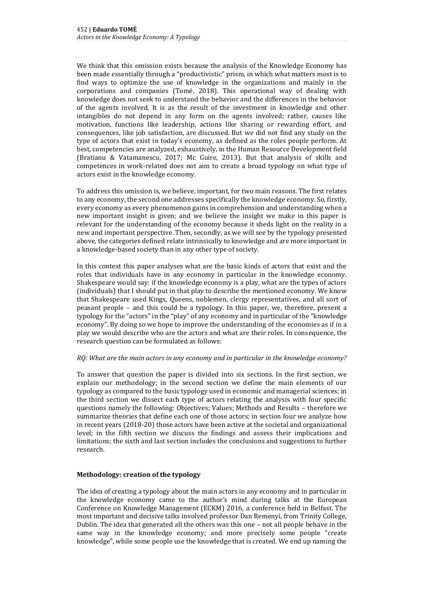We think that this omission exists because the analysis of the Knowledge Economy has been made essentially through a "productivistic" prism, in which what matters most is to find ways to optimize the use of knowledge in the organizations and mainly in the corporations and companies (Tomé, 2018). This operational way of dealing with knowledge does not seek to understand the behavior and the differences in the behavior of the agents involved. It is as the result of the investment in knowledge and other intangibles do not depend in any form on the agents involved; rather, causes like motivation, functions like leadership, actions like sharing or rewarding effort, and consequences, like job satisfaction, are discussed. But we did not find any study on the type of actors that exist in today's economy, as defined as the roles people perform. At best, competencies are analyzed, exhaustively, in the Human Resource Development field (Bratianu & Vatamanescu, 2017; Mc Guire, 2013). But that analysis of skills and competences in work-related does not aim to create a broad typology on what type of actors exist in the knowledge economy.

To address this omission is, we believe, important, for two main reasons. The first relates to any economy, the second one addresses specifically the knowledge economy. So, firstly, every economy as every phenomenon gains in comprehension and understanding when a new important insight is given; and we believe the insight we make in this paper is relevant for the understanding of the economy because it sheds light on the reality in a new and important perspective. Then, secondly, as we will see by the typology presented above, the categories defined relate intrinsically to knowledge and are more important in a knowledge-based society than in any other type of society.

In this context this paper analyses what are the basic kinds of actors that exist and the roles that individuals have in any economy in particular in the knowledge economy. Shakespeare would say: if the knowledge economy is a play, what are the types of actors (individuals) that I should put in that play to describe the mentioned economy. We know that Shakespeare used Kings, Queens, noblemen, clergy representatives, and all sort of peasant people – and this could be a typology. In this paper, we, therefore, present a typology for the "actors" in the "play" of any economy and in particular of the "knowledge economy". By doing so we hope to improve the understanding of the economies as if in a play we would describe who are the actors and what are their roles. In consequence, the research question can be formulated as follows:

# *RQ: What are the main actors in any economy and in particular in the knowledge economy?*

To answer that question the paper is divided into six sections. In the first section, we explain our methodology; in the second section we define the main elements of our typology as compared to the basic typology used in economic and managerial sciences; in the third section we dissect each type of actors relating the analysis with four specific questions namely the following: Objectives; Values; Methods and Results – therefore we summarize theories that define each one of those actors; in section four we analyze how in recent years (2018-20) those actors have been active at the societal and organizational level; in the fifth section we discuss the findings and assess their implications and limitations; the sixth and last section includes the conclusions and suggestions to further research.

# **Methodology: creation of the typology**

The idea of creating a typology about the main actors in any economy and in particular in the knowledge economy came to the author's mind during talks at the European Conference on Knowledge Management (ECKM) 2016, a conference held in Belfast. The most important and decisive talks involved professor Dan Remenyi, from Trinity College, Dublin. The idea that generated all the others was this one – not all people behave in the same way in the knowledge economy; and more precisely some people "create knowledge", while some people use the knowledge that is created. We end up naming the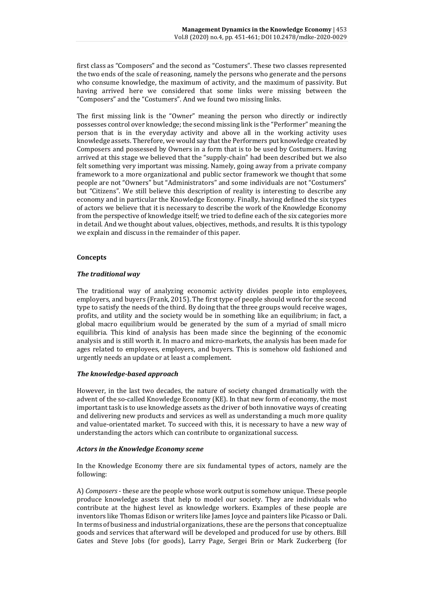first class as "Composers" and the second as "Costumers". These two classes represented the two ends of the scale of reasoning, namely the persons who generate and the persons who consume knowledge, the maximum of activity, and the maximum of passivity. But having arrived here we considered that some links were missing between the "Composers" and the "Costumers". And we found two missing links.

The first missing link is the "Owner" meaning the person who directly or indirectly possesses control over knowledge; the second missing link is the "Performer" meaning the person that is in the everyday activity and above all in the working activity uses knowledge assets. Therefore, we would say that the Performers put knowledge created by Composers and possessed by Owners in a form that is to be used by Costumers. Having arrived at this stage we believed that the "supply-chain" had been described but we also felt something very important was missing. Namely, going away from a private company framework to a more organizational and public sector framework we thought that some people are not "Owners" but "Administrators" and some individuals are not "Costumers" but "Citizens". We still believe this description of reality is interesting to describe any economy and in particular the Knowledge Economy. Finally, having defined the six types of actors we believe that it is necessary to describe the work of the Knowledge Economy from the perspective of knowledge itself; we tried to define each of the six categories more in detail. And we thought about values, objectives, methods, and results. It is this typology we explain and discuss in the remainder of this paper.

# **Concepts**

### *The traditional way*

The traditional way of analyzing economic activity divides people into employees, employers, and buyers (Frank, 2015). The first type of people should work for the second type to satisfy the needs of the third. By doing that the three groups would receive wages, profits, and utility and the society would be in something like an equilibrium; in fact, a global macro equilibrium would be generated by the sum of a myriad of small micro equilibria. This kind of analysis has been made since the beginning of the economic analysis and is still worth it. In macro and micro-markets, the analysis has been made for ages related to employees, employers, and buyers. This is somehow old fashioned and urgently needs an update or at least a complement.

# *The knowledge-based approach*

However, in the last two decades, the nature of society changed dramatically with the advent of the so-called Knowledge Economy (KE). In that new form of economy, the most important task is to use knowledge assets as the driver of both innovative ways of creating and delivering new products and services as well as understanding a much more quality and value-orientated market. To succeed with this, it is necessary to have a new way of understanding the actors which can contribute to organizational success.

#### *Actors in the Knowledge Economy scene*

In the Knowledge Economy there are six fundamental types of actors, namely are the following:

A) *Composers* - these are the people whose work output is somehow unique. These people produce knowledge assets that help to model our society. They are individuals who contribute at the highest level as knowledge workers. Examples of these people are inventors like Thomas Edison or writers like James Joyce and painters like Picasso or Dali. In terms of business and industrial organizations, these are the persons that conceptualize goods and services that afterward will be developed and produced for use by others. Bill Gates and Steve Jobs (for goods), Larry Page, Sergei Brin or Mark Zuckerberg (for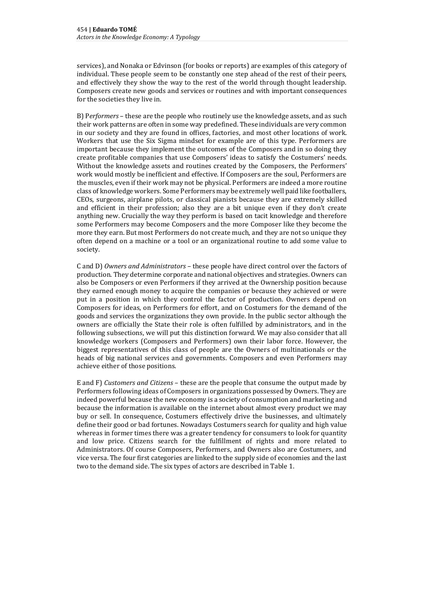services), and Nonaka or Edvinson (for books or reports) are examples of this category of individual. These people seem to be constantly one step ahead of the rest of their peers, and effectively they show the way to the rest of the world through thought leadership. Composers create new goods and services or routines and with important consequences for the societies they live in.

B) P*erformers* – these are the people who routinely use the knowledge assets, and as such their work patterns are often in some way predefined. These individuals are very common in our society and they are found in offices, factories, and most other locations of work. Workers that use the Six Sigma mindset for example are of this type. Performers are important because they implement the outcomes of the Composers and in so doing they create profitable companies that use Composers' ideas to satisfy the Costumers' needs. Without the knowledge assets and routines created by the Composers, the Performers' work would mostly be inefficient and effective. If Composers are the soul, Performers are the muscles, even if their work may not be physical. Performers are indeed a more routine class of knowledge workers. Some Performers may be extremely well paid like footballers, CEOs, surgeons, airplane pilots, or classical pianists because they are extremely skilled and efficient in their profession; also they are a bit unique even if they don't create anything new. Crucially the way they perform is based on tacit knowledge and therefore some Performers may become Composers and the more Composer like they become the more they earn. But most Performers do not create much, and they are not so unique they often depend on a machine or a tool or an organizational routine to add some value to society.

C and D) *Owners and Administrators* – these people have direct control over the factors of production. They determine corporate and national objectives and strategies. Owners can also be Composers or even Performers if they arrived at the Ownership position because they earned enough money to acquire the companies or because they achieved or were put in a position in which they control the factor of production. Owners depend on Composers for ideas, on Performers for effort, and on Costumers for the demand of the goods and services the organizations they own provide. In the public sector although the owners are officially the State their role is often fulfilled by administrators, and in the following subsections, we will put this distinction forward. We may also consider that all knowledge workers (Composers and Performers) own their labor force. However, the biggest representatives of this class of people are the Owners of multinationals or the heads of big national services and governments. Composers and even Performers may achieve either of those positions.

E and F) *Customers and Citizens* – these are the people that consume the output made by Performers following ideas of Composers in organizations possessed by Owners. They are indeed powerful because the new economy is a society of consumption and marketing and because the information is available on the internet about almost every product we may buy or sell. In consequence, Costumers effectively drive the businesses, and ultimately define their good or bad fortunes. Nowadays Costumers search for quality and high value whereas in former times there was a greater tendency for consumers to look for quantity and low price. Citizens search for the fulfillment of rights and more related to Administrators. Of course Composers, Performers, and Owners also are Costumers, and vice versa. The four first categories are linked to the supply side of economies and the last two to the demand side. The six types of actors are described in Table 1.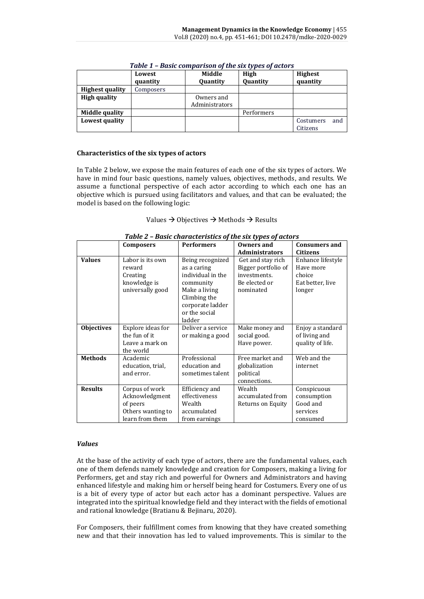|                        | Lowest<br>quantity | Middle<br>Quantity           | High<br>Quantity | <b>Highest</b><br>quantity   |  |
|------------------------|--------------------|------------------------------|------------------|------------------------------|--|
| <b>Highest quality</b> | Composers          |                              |                  |                              |  |
| <b>High quality</b>    |                    | Owners and<br>Administrators |                  |                              |  |
| Middle quality         |                    |                              | Performers       |                              |  |
| Lowest quality         |                    |                              |                  | and<br>Costumers<br>Citizens |  |

*Table 1 – Basic comparison of the six types of actors*

### **Characteristics of the six types of actors**

In Table 2 below, we expose the main features of each one of the six types of actors. We have in mind four basic questions, namely values, objectives, methods, and results. We assume a functional perspective of each actor according to which each one has an objective which is pursued using facilitators and values, and that can be evaluated; the model is based on the following logic:

| Values $\rightarrow$ Objectives $\rightarrow$ Methods $\rightarrow$ Results |  |
|-----------------------------------------------------------------------------|--|
|-----------------------------------------------------------------------------|--|

| Tuble 2 – busic characteristics of the six types of actors |                                                                                      |                                                                                                                                                   |                                                                                        |                                                                        |  |  |  |
|------------------------------------------------------------|--------------------------------------------------------------------------------------|---------------------------------------------------------------------------------------------------------------------------------------------------|----------------------------------------------------------------------------------------|------------------------------------------------------------------------|--|--|--|
|                                                            | <b>Composers</b>                                                                     | <b>Performers</b>                                                                                                                                 | <b>Owners and</b>                                                                      | <b>Consumers and</b>                                                   |  |  |  |
|                                                            |                                                                                      |                                                                                                                                                   | <b>Administrators</b>                                                                  | Citizens                                                               |  |  |  |
| <b>Values</b>                                              | Labor is its own<br>reward<br>Creating<br>knowledge is<br>universally good           | Being recognized<br>as a caring<br>individual in the<br>community<br>Make a living<br>Climbing the<br>corporate ladder<br>or the social<br>ladder | Get and stay rich<br>Bigger portfolio of<br>investments.<br>Be elected or<br>nominated | Enhance lifestyle<br>Have more<br>choice<br>Eat better, live<br>longer |  |  |  |
| <b>Objectives</b>                                          | Explore ideas for<br>the fun of it<br>Leave a mark on<br>the world                   | Deliver a service<br>or making a good                                                                                                             | Make money and<br>social good.<br>Have power.                                          | Enjoy a standard<br>of living and<br>quality of life.                  |  |  |  |
| <b>Methods</b>                                             | Academic<br>education, trial,<br>and error.                                          | Professional<br>education and<br>sometimes talent                                                                                                 | Free market and<br>globalization<br>political<br>connections.                          | Web and the<br>internet                                                |  |  |  |
| <b>Results</b>                                             | Corpus of work<br>Acknowledgment<br>of peers<br>Others wanting to<br>learn from them | Efficiency and<br>effectiveness<br>Wealth<br>accumulated<br>from earnings                                                                         | Wealth<br>accumulated from<br>Returns on Equity                                        | Conspicuous<br>consumption<br>Good and<br>services<br>consumed         |  |  |  |

|  | Table 2 - Basic characteristics of the six types of actors |  |  |  |
|--|------------------------------------------------------------|--|--|--|
|  |                                                            |  |  |  |

# *Values*

At the base of the activity of each type of actors, there are the fundamental values, each one of them defends namely knowledge and creation for Composers, making a living for Performers, get and stay rich and powerful for Owners and Administrators and having enhanced lifestyle and making him or herself being heard for Costumers. Every one of us is a bit of every type of actor but each actor has a dominant perspective. Values are integrated into the spiritual knowledge field and they interact with the fields of emotional and rational knowledge (Bratianu & Bejinaru, 2020).

For Composers, their fulfillment comes from knowing that they have created something new and that their innovation has led to valued improvements. This is similar to the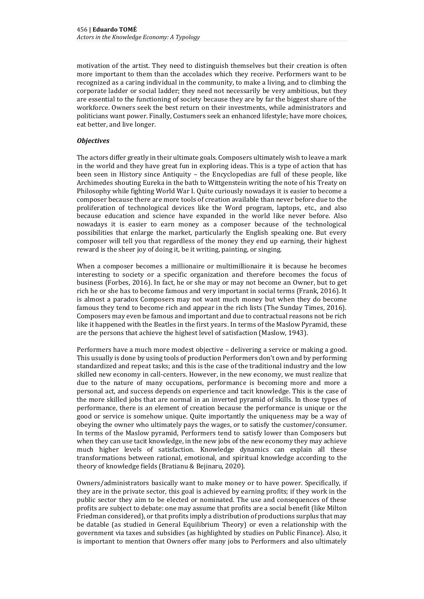motivation of the artist. They need to distinguish themselves but their creation is often more important to them than the accolades which they receive. Performers want to be recognized as a caring individual in the community, to make a living, and to climbing the corporate ladder or social ladder; they need not necessarily be very ambitious, but they are essential to the functioning of society because they are by far the biggest share of the workforce. Owners seek the best return on their investments, while administrators and politicians want power. Finally, Costumers seek an enhanced lifestyle; have more choices, eat better, and live longer.

## *Objectives*

The actors differ greatly in their ultimate goals. Composers ultimately wish to leave a mark in the world and they have great fun in exploring ideas. This is a type of action that has been seen in History since Antiquity – the Encyclopedias are full of these people, like Archimedes shouting Eureka in the bath to Wittgenstein writing the note of his Treaty on Philosophy while fighting World War I. Quite curiously nowadays it is easier to become a composer because there are more tools of creation available than never before due to the proliferation of technological devices like the Word program, laptops, etc., and also because education and science have expanded in the world like never before. Also nowadays it is easier to earn money as a composer because of the technological possibilities that enlarge the market, particularly the English speaking one. But every composer will tell you that regardless of the money they end up earning, their highest reward is the sheer joy of doing it, be it writing, painting, or singing.

When a composer becomes a millionaire or multimillionaire it is because he becomes interesting to society or a specific organization and therefore becomes the focus of business (Forbes, 2016). In fact, he or she may or may not become an Owner, but to get rich he or she has to become famous and very important in social terms (Frank, 2016). It is almost a paradox Composers may not want much money but when they do become famous they tend to become rich and appear in the rich lists (The Sunday Times, 2016). Composers may even be famous and important and due to contractual reasons not be rich like it happened with the Beatles in the first years. In terms of the Maslow Pyramid, these are the persons that achieve the highest level of satisfaction (Maslow, 1943).

Performers have a much more modest objective – delivering a service or making a good. This usually is done by using tools of production Performers don't own and by performing standardized and repeat tasks; and this is the case of the traditional industry and the low skilled new economy in call-centers. However, in the new economy, we must realize that due to the nature of many occupations, performance is becoming more and more a personal act, and success depends on experience and tacit knowledge. This is the case of the more skilled jobs that are normal in an inverted pyramid of skills. In those types of performance, there is an element of creation because the performance is unique or the good or service is somehow unique. Quite importantly the uniqueness may be a way of obeying the owner who ultimately pays the wages, or to satisfy the customer/consumer. In terms of the Maslow pyramid, Performers tend to satisfy lower than Composers but when they can use tacit knowledge, in the new jobs of the new economy they may achieve much higher levels of satisfaction. Knowledge dynamics can explain all these transformations between rational, emotional, and spiritual knowledge according to the theory of knowledge fields (Bratianu & Bejinaru, 2020).

Owners/administrators basically want to make money or to have power. Specifically, if they are in the private sector, this goal is achieved by earning profits; if they work in the public sector they aim to be elected or nominated. The use and consequences of these profits are subject to debate: one may assume that profits are a social benefit (like Milton Friedman considered), or that profits imply a distribution of productions surplus that may be datable (as studied in General Equilibrium Theory) or even a relationship with the government via taxes and subsidies (as highlighted by studies on Public Finance). Also, it is important to mention that Owners offer many jobs to Performers and also ultimately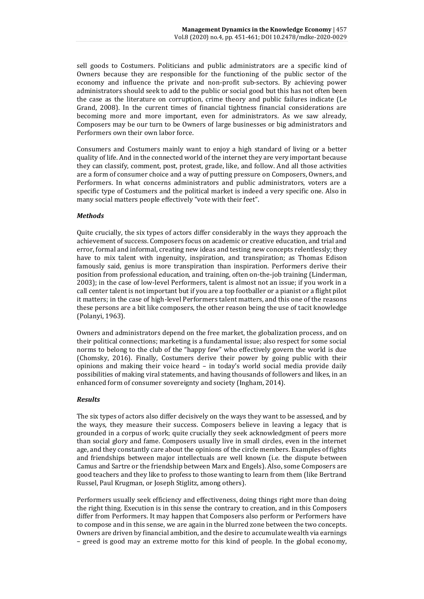sell goods to Costumers. Politicians and public administrators are a specific kind of Owners because they are responsible for the functioning of the public sector of the economy and influence the private and non-profit sub-sectors. By achieving power administrators should seek to add to the public or social good but this has not often been the case as the literature on corruption, crime theory and public failures indicate (Le Grand, 2008). In the current times of financial tightness financial considerations are becoming more and more important, even for administrators. As we saw already, Composers may be our turn to be Owners of large businesses or big administrators and Performers own their own labor force.

Consumers and Costumers mainly want to enjoy a high standard of living or a better quality of life. And in the connected world of the internet they are very important because they can classify, comment, post, protest, grade, like, and follow. And all those activities are a form of consumer choice and a way of putting pressure on Composers, Owners, and Performers. In what concerns administrators and public administrators, voters are a specific type of Costumers and the political market is indeed a very specific one. Also in many social matters people effectively "vote with their feet".

# *Methods*

Quite crucially, the six types of actors differ considerably in the ways they approach the achievement of success. Composers focus on academic or creative education, and trial and error, formal and informal, creating new ideas and testing new concepts relentlessly; they have to mix talent with ingenuity, inspiration, and transpiration; as Thomas Edison famously said, genius is more transpiration than inspiration. Performers derive their position from professional education, and training, often on-the-job training (Linderman, 2003); in the case of low-level Performers, talent is almost not an issue; if you work in a call center talent is not important but if you are a top footballer or a pianist or a flight pilot it matters; in the case of high-level Performers talent matters, and this one of the reasons these persons are a bit like composers, the other reason being the use of tacit knowledge (Polanyi, 1963).

Owners and administrators depend on the free market, the globalization process, and on their political connections; marketing is a fundamental issue; also respect for some social norms to belong to the club of the "happy few" who effectively govern the world is due (Chomsky, 2016). Finally, Costumers derive their power by going public with their opinions and making their voice heard – in today's world social media provide daily possibilities of making viral statements, and having thousands of followers and likes, in an enhanced form of consumer sovereignty and society (Ingham, 2014).

# *Results*

The six types of actors also differ decisively on the ways they want to be assessed, and by the ways, they measure their success. Composers believe in leaving a legacy that is grounded in a corpus of work; quite crucially they seek acknowledgment of peers more than social glory and fame. Composers usually live in small circles, even in the internet age, and they constantly care about the opinions of the circle members. Examples of fights and friendships between major intellectuals are well known (i.e. the dispute between Camus and Sartre or the friendship between Marx and Engels). Also, some Composers are good teachers and they like to profess to those wanting to learn from them (like Bertrand Russel, Paul Krugman, or Joseph Stiglitz, among others).

Performers usually seek efficiency and effectiveness, doing things right more than doing the right thing. Execution is in this sense the contrary to creation, and in this Composers differ from Performers. It may happen that Composers also perform or Performers have to compose and in this sense, we are again in the blurred zone between the two concepts. Owners are driven by financial ambition, and the desire to accumulate wealth via earnings – greed is good may an extreme motto for this kind of people. In the global economy,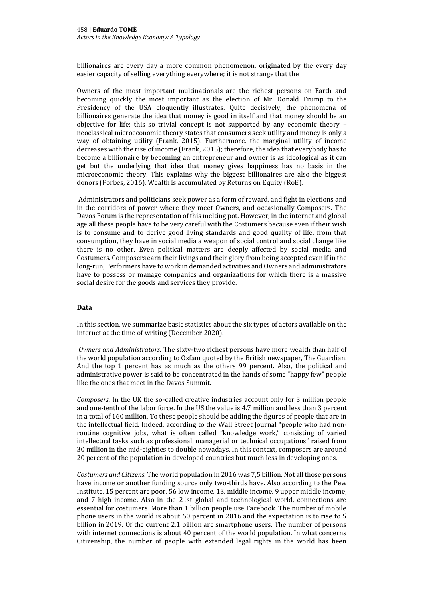billionaires are every day a more common phenomenon, originated by the every day easier capacity of selling everything everywhere; it is not strange that the

Owners of the most important multinationals are the richest persons on Earth and becoming quickly the most important as the election of Mr. Donald Trump to the Presidency of the USA eloquently illustrates. Quite decisively, the phenomena of billionaires generate the idea that money is good in itself and that money should be an objective for life; this so trivial concept is not supported by any economic theory – neoclassical microeconomic theory states that consumers seek utility and money is only a way of obtaining utility (Frank, 2015). Furthermore, the marginal utility of income decreases with the rise of income (Frank, 2015); therefore, the idea that everybody has to become a billionaire by becoming an entrepreneur and owner is as ideological as it can get but the underlying that idea that money gives happiness has no basis in the microeconomic theory. This explains why the biggest billionaires are also the biggest donors (Forbes, 2016). Wealth is accumulated by Returns on Equity (RoE).

Administrators and politicians seek power as a form of reward, and fight in elections and in the corridors of power where they meet Owners, and occasionally Composers. The Davos Forum is the representation of this melting pot. However, in the internet and global age all these people have to be very careful with the Costumers because even if their wish is to consume and to derive good living standards and good quality of life, from that consumption, they have in social media a weapon of social control and social change like there is no other. Even political matters are deeply affected by social media and Costumers. Composers earn their livings and their glory from being accepted even if in the long-run, Performers have to work in demanded activities and Owners and administrators have to possess or manage companies and organizations for which there is a massive social desire for the goods and services they provide.

# **Data**

In this section, we summarize basic statistics about the six types of actors available on the internet at the time of writing (December 2020).

*Owners and Administrators.* The sixty-two richest persons have more wealth than half of the world population according to Oxfam quoted by the British newspaper, The Guardian. And the top 1 percent has as much as the others 99 percent. Also, the political and administrative power is said to be concentrated in the hands of some "happy few" people like the ones that meet in the Davos Summit.

*Composers.* In the UK the so-called creative industries account only for 3 million people and one-tenth of the labor force. In the US the value is 4.7 million and less than 3 percent in a total of 160 million. To these people should be adding the figures of people that are in the intellectual field. Indeed, according to the Wall Street Journal "people who had nonroutine cognitive jobs, what is often called "knowledge work," consisting of varied intellectual tasks such as professional, managerial or technical occupations" raised from 30 million in the mid-eighties to double nowadays. In this context, composers are around 20 percent of the population in developed countries but much less in developing ones.

*Costumers and Citizens.* The world population in 2016 was 7,5 billion. Not all those persons have income or another funding source only two-thirds have. Also according to the Pew Institute, 15 percent are poor, 56 low income, 13, middle income, 9 upper middle income, and 7 high income. Also in the 21st global and technological world, connections are essential for costumers. More than 1 billion people use Facebook. The number of mobile phone users in the world is about 60 percent in 2016 and the expectation is to rise to 5 billion in 2019. Of the current 2.1 billion are smartphone users. The number of persons with internet connections is about 40 percent of the world population. In what concerns Citizenship, the number of people with extended legal rights in the world has been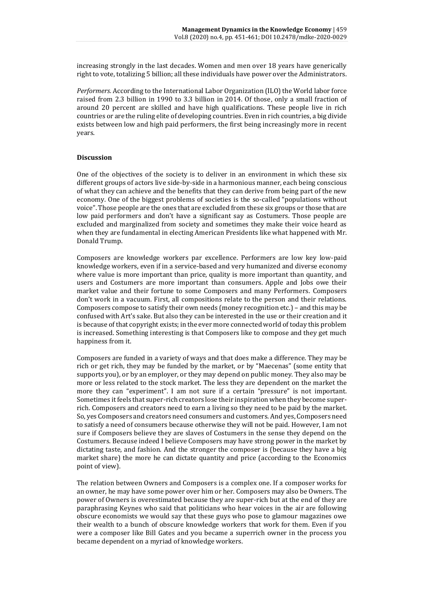increasing strongly in the last decades. Women and men over 18 years have generically right to vote, totalizing 5 billion; all these individuals have power over the Administrators.

*Performers.* According to the International Labor Organization (ILO) the World labor force raised from 2.3 billion in 1990 to 3.3 billion in 2014. Of those, only a small fraction of around 20 percent are skilled and have high qualifications. These people live in rich countries or are the ruling elite of developing countries. Even in rich countries, a big divide exists between low and high paid performers, the first being increasingly more in recent years.

### **Discussion**

One of the objectives of the society is to deliver in an environment in which these six different groups of actors live side-by-side in a harmonious manner, each being conscious of what they can achieve and the benefits that they can derive from being part of the new economy. One of the biggest problems of societies is the so-called "populations without voice". Those people are the ones that are excluded from these six groups or those that are low paid performers and don't have a significant say as Costumers. Those people are excluded and marginalized from society and sometimes they make their voice heard as when they are fundamental in electing American Presidents like what happened with Mr. Donald Trump.

Composers are knowledge workers par excellence. Performers are low key low-paid knowledge workers, even if in a service-based and very humanized and diverse economy where value is more important than price, quality is more important than quantity, and users and Costumers are more important than consumers. Apple and Jobs owe their market value and their fortune to some Composers and many Performers. Composers don't work in a vacuum. First, all compositions relate to the person and their relations. Composers compose to satisfy their own needs (money recognition etc.) – and this may be confused with Art's sake. But also they can be interested in the use or their creation and it is because of that copyright exists; in the ever more connected world of today this problem is increased. Something interesting is that Composers like to compose and they get much happiness from it.

Composers are funded in a variety of ways and that does make a difference. They may be rich or get rich, they may be funded by the market, or by "Maecenas" (some entity that supports you), or by an employer, or they may depend on public money. They also may be more or less related to the stock market. The less they are dependent on the market the more they can "experiment". I am not sure if a certain "pressure" is not important. Sometimes it feels that super-rich creators lose their inspiration when they become superrich. Composers and creators need to earn a living so they need to be paid by the market. So, yes Composers and creators need consumers and customers. And yes, Composers need to satisfy a need of consumers because otherwise they will not be paid. However, I am not sure if Composers believe they are slaves of Costumers in the sense they depend on the Costumers. Because indeed I believe Composers may have strong power in the market by dictating taste, and fashion. And the stronger the composer is (because they have a big market share) the more he can dictate quantity and price (according to the Economics point of view).

The relation between Owners and Composers is a complex one. If a composer works for an owner, he may have some power over him or her. Composers may also be Owners. The power of Owners is overestimated because they are super-rich but at the end of they are paraphrasing Keynes who said that politicians who hear voices in the air are following obscure economists we would say that these guys who pose to glamour magazines owe their wealth to a bunch of obscure knowledge workers that work for them. Even if you were a composer like Bill Gates and you became a superrich owner in the process you became dependent on a myriad of knowledge workers.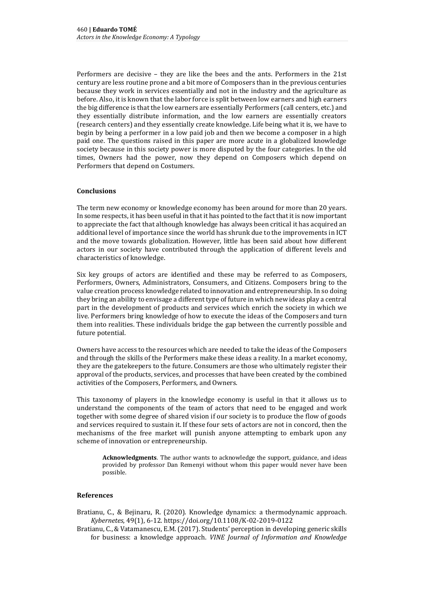Performers are decisive – they are like the bees and the ants. Performers in the 21st century are less routine prone and a bit more of Composers than in the previous centuries because they work in services essentially and not in the industry and the agriculture as before. Also, it is known that the labor force is split between low earners and high earners the big difference is that the low earners are essentially Performers (call centers, etc.) and they essentially distribute information, and the low earners are essentially creators (research centers) and they essentially create knowledge. Life being what it is, we have to begin by being a performer in a low paid job and then we become a composer in a high paid one. The questions raised in this paper are more acute in a globalized knowledge society because in this society power is more disputed by the four categories. In the old times, Owners had the power, now they depend on Composers which depend on Performers that depend on Costumers.

# **Conclusions**

The term new economy or knowledge economy has been around for more than 20 years. In some respects, it has been useful in that it has pointed to the fact that it is now important to appreciate the fact that although knowledge has always been critical it has acquired an additional level of importance since the world has shrunk due to the improvements in ICT and the move towards globalization. However, little has been said about how different actors in our society have contributed through the application of different levels and characteristics of knowledge.

Six key groups of actors are identified and these may be referred to as Composers, Performers, Owners, Administrators, Consumers, and Citizens. Composers bring to the value creation process knowledge related to innovation and entrepreneurship. In so doing they bring an ability to envisage a different type of future in which new ideas play a central part in the development of products and services which enrich the society in which we live. Performers bring knowledge of how to execute the ideas of the Composers and turn them into realities. These individuals bridge the gap between the currently possible and future potential.

Owners have access to the resources which are needed to take the ideas of the Composers and through the skills of the Performers make these ideas a reality. In a market economy, they are the gatekeepers to the future. Consumers are those who ultimately register their approval of the products, services, and processes that have been created by the combined activities of the Composers, Performers, and Owners.

This taxonomy of players in the knowledge economy is useful in that it allows us to understand the components of the team of actors that need to be engaged and work together with some degree of shared vision if our society is to produce the flow of goods and services required to sustain it. If these four sets of actors are not in concord, then the mechanisms of the free market will punish anyone attempting to embark upon any scheme of innovation or entrepreneurship.

**Acknowledgments**. The author wants to acknowledge the support, guidance, and ideas provided by professor Dan Remenyi without whom this paper would never have been possible.

# **References**

Bratianu, C., & Bejinaru, R. (2020). Knowledge dynamics: a thermodynamic approach. *Kybernetes*, 49(1), 6-12. <https://doi.org/10.1108/K-02-2019-0122>

Bratianu, C., & Vatamanescu, E.M. (2017). Students' perception in developing generic skills for business: a knowledge approach. *VINE Journal of Information and Knowledge*